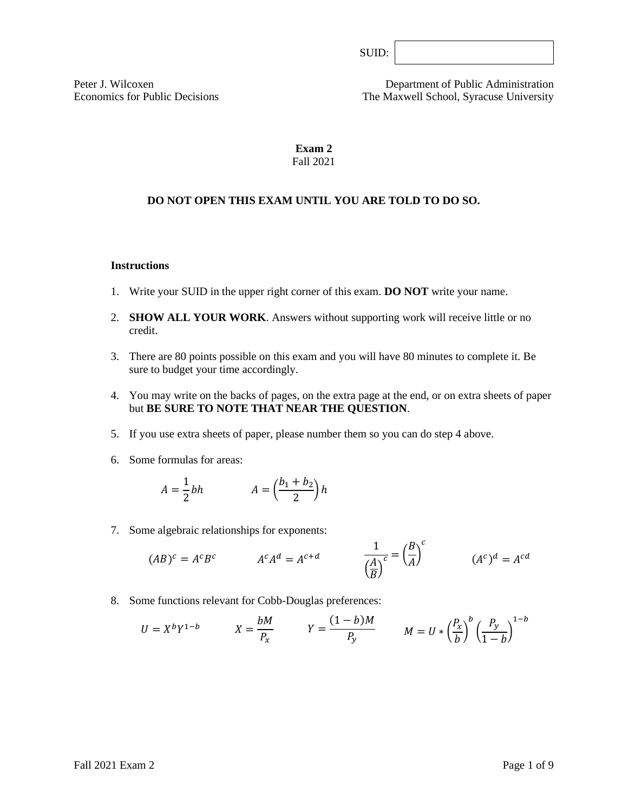| UL |  |
|----|--|
|----|--|

Peter J. Wilcoxen Department of Public Administration Economics for Public Decisions The Maxwell School, Syracuse University

## **Exam 2** Fall 2021

## **DO NOT OPEN THIS EXAM UNTIL YOU ARE TOLD TO DO SO.**

### **Instructions**

- 1. Write your SUID in the upper right corner of this exam. **DO NOT** write your name.
- 2. **SHOW ALL YOUR WORK**. Answers without supporting work will receive little or no credit.
- 3. There are 80 points possible on this exam and you will have 80 minutes to complete it. Be sure to budget your time accordingly.
- 4. You may write on the backs of pages, on the extra page at the end, or on extra sheets of paper but **BE SURE TO NOTE THAT NEAR THE QUESTION**.
- 5. If you use extra sheets of paper, please number them so you can do step 4 above.
- 6. Some formulas for areas:

$$
A = \frac{1}{2}bh \qquad A = \left(\frac{b_1 + b_2}{2}\right)h
$$

7. Some algebraic relationships for exponents:

$$
(AB)^c = A^c B^c \qquad \qquad A^c A^d = A^{c+d} \qquad \qquad \frac{1}{\left(\frac{A}{B}\right)^c} = \left(\frac{B}{A}\right)^c \qquad \qquad (A^c)^d = A^{cd}
$$

 $\overline{a}$ 

8. Some functions relevant for Cobb-Douglas preferences:

$$
U = X^b Y^{1-b} \qquad X = \frac{bM}{P_x} \qquad Y = \frac{(1-b)M}{P_y} \qquad M = U * \left(\frac{P_x}{b}\right)^b \left(\frac{P_y}{1-b}\right)^{1-b}
$$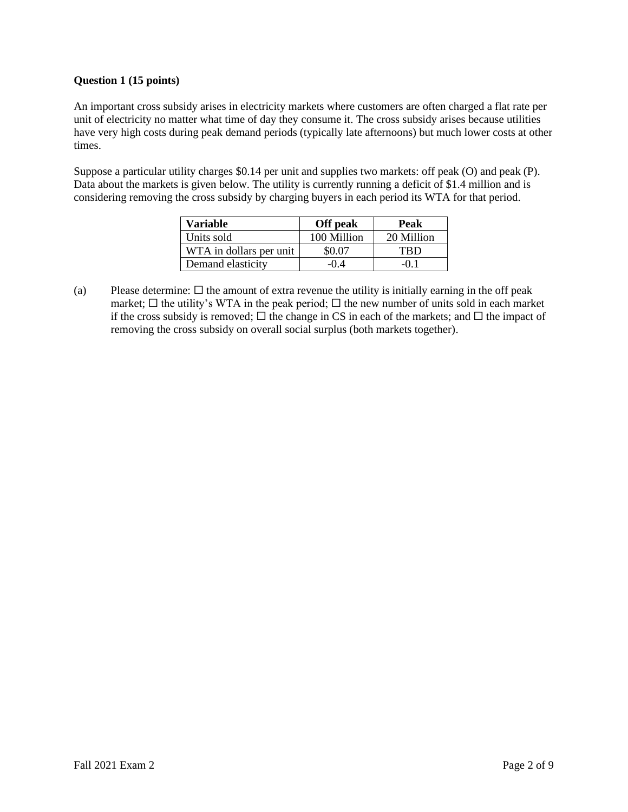## **Question 1 (15 points)**

An important cross subsidy arises in electricity markets where customers are often charged a flat rate per unit of electricity no matter what time of day they consume it. The cross subsidy arises because utilities have very high costs during peak demand periods (typically late afternoons) but much lower costs at other times.

Suppose a particular utility charges \$0.14 per unit and supplies two markets: off peak (O) and peak (P). Data about the markets is given below. The utility is currently running a deficit of \$1.4 million and is considering removing the cross subsidy by charging buyers in each period its WTA for that period.

| Variable                | <b>Off</b> peak | Peak       |
|-------------------------|-----------------|------------|
| Units sold              | 100 Million     | 20 Million |
| WTA in dollars per unit | \$0.07          | TRD        |
| Demand elasticity       | -04             | -01        |

(a) Please determine:  $\Box$  the amount of extra revenue the utility is initially earning in the off peak market;  $\Box$  the utility's WTA in the peak period;  $\Box$  the new number of units sold in each market if the cross subsidy is removed;  $\Box$  the change in CS in each of the markets; and  $\Box$  the impact of removing the cross subsidy on overall social surplus (both markets together).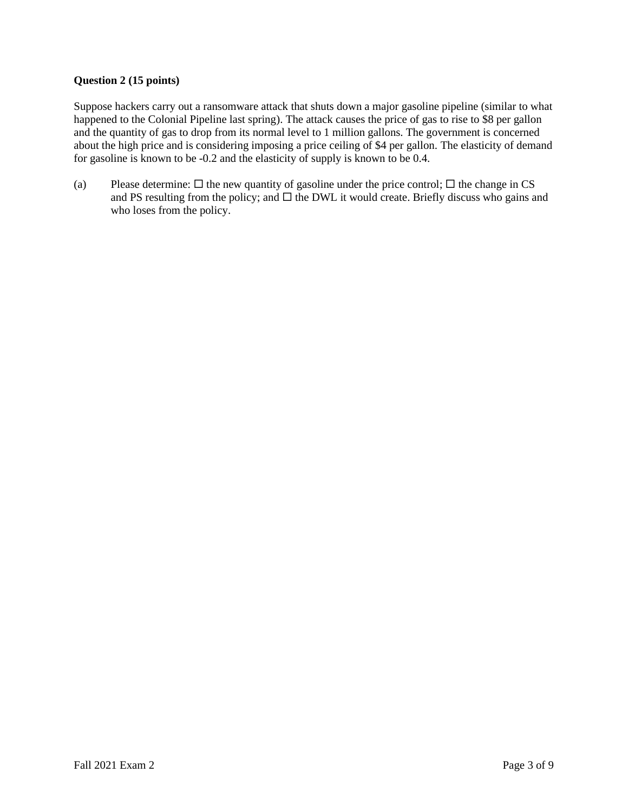## **Question 2 (15 points)**

Suppose hackers carry out a ransomware attack that shuts down a major gasoline pipeline (similar to what happened to the Colonial Pipeline last spring). The attack causes the price of gas to rise to \$8 per gallon and the quantity of gas to drop from its normal level to 1 million gallons. The government is concerned about the high price and is considering imposing a price ceiling of \$4 per gallon. The elasticity of demand for gasoline is known to be -0.2 and the elasticity of supply is known to be 0.4.

(a) Please determine:  $\Box$  the new quantity of gasoline under the price control;  $\Box$  the change in CS and PS resulting from the policy; and  $\Box$  the DWL it would create. Briefly discuss who gains and who loses from the policy.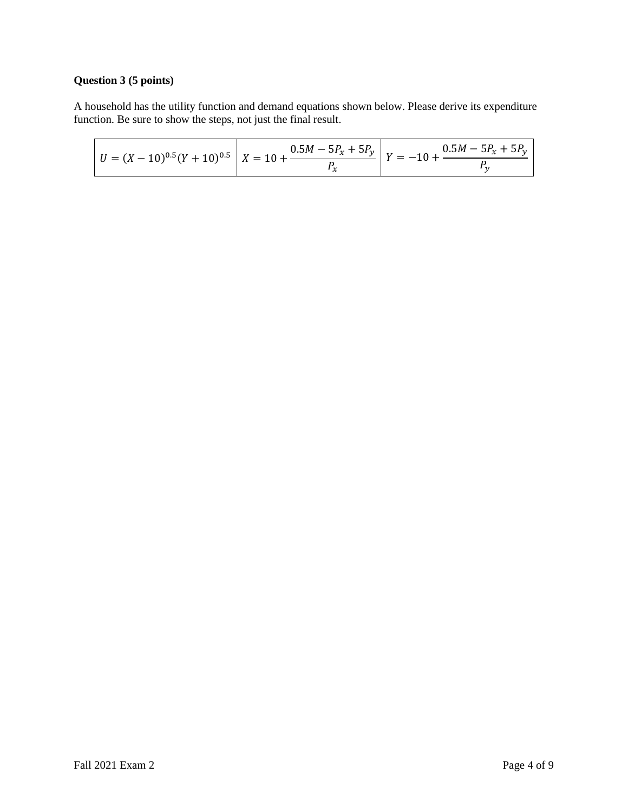# **Question 3 (5 points)**

A household has the utility function and demand equations shown below. Please derive its expenditure function. Be sure to show the steps, not just the final result.

|  |  | $\left  U = (X - 10)^{0.5} (Y + 10)^{0.5} \right  X = 10 + \frac{0.5M - 5P_x + 5P_y}{P} \left  Y = -10 + \frac{0.5M - 5P_x + 5P_y}{P} \right $ |
|--|--|------------------------------------------------------------------------------------------------------------------------------------------------|
|--|--|------------------------------------------------------------------------------------------------------------------------------------------------|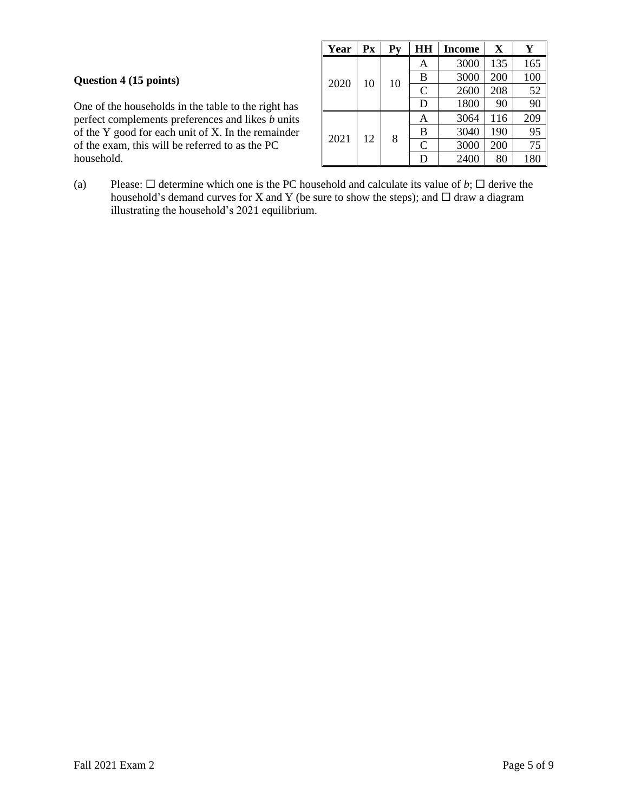## **Question 4 (15 points)**

One of the households in the table to the right has perfect complements preferences and likes *b* units of the Y good for each unit of X. In the remainder of the exam, this will be referred to as the PC household.

| Year | $\mathbf{P}$ <b>x</b> | $Py$           | HH             | <b>Income</b> | X   | Y   |
|------|-----------------------|----------------|----------------|---------------|-----|-----|
|      |                       |                | Α              | 3000          | 135 | 165 |
| 2020 |                       | 10             | B              | 3000          | 200 | 100 |
|      | 10                    |                | $\overline{C}$ | 2600          | 208 | 52  |
|      |                       |                | D              | 1800          | 90  | 90  |
|      |                       | Α              | 3064           | 116           | 209 |     |
| 2021 |                       |                | B              | 3040          | 190 | 95  |
| 12   | 8                     | $\overline{C}$ | 3000           | 200           | 75  |     |
|      |                       |                | D              | 2400          | 80  | 180 |

(a) Please:  $\Box$  determine which one is the PC household and calculate its value of *b*;  $\Box$  derive the household's demand curves for X and Y (be sure to show the steps); and  $\Box$  draw a diagram illustrating the household's 2021 equilibrium.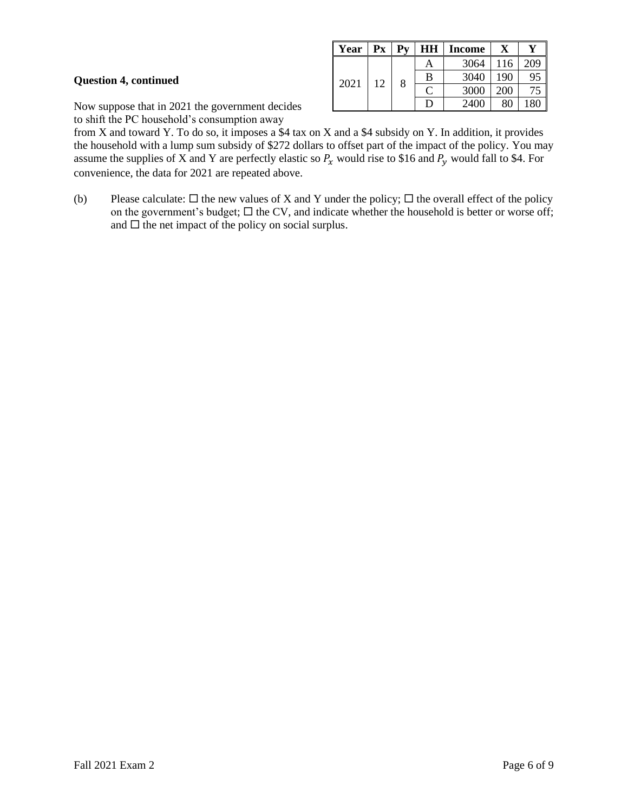| Year | Рx         | Pv | HН | <b>Income</b> |     |     |
|------|------------|----|----|---------------|-----|-----|
|      |            |    | A  | 3064          | 116 | 209 |
|      | 2021<br>12 |    | В  | 3040          | 190 | 95  |
|      |            | 8  |    | 3000          | 200 |     |
|      |            |    | D  | 2400          |     |     |

Now suppose that in 2021 the government decides to shift the PC household's consumption away

from X and toward Y. To do so, it imposes a \$4 tax on X and a \$4 subsidy on Y. In addition, it provides the household with a lump sum subsidy of \$272 dollars to offset part of the impact of the policy. You may assume the supplies of X and Y are perfectly elastic so  $P_x$  would rise to \$16 and  $P_y$  would fall to \$4. For convenience, the data for 2021 are repeated above.

(b) Please calculate:  $\Box$  the new values of X and Y under the policy;  $\Box$  the overall effect of the policy on the government's budget;  $\Box$  the CV, and indicate whether the household is better or worse off; and  $\Box$  the net impact of the policy on social surplus.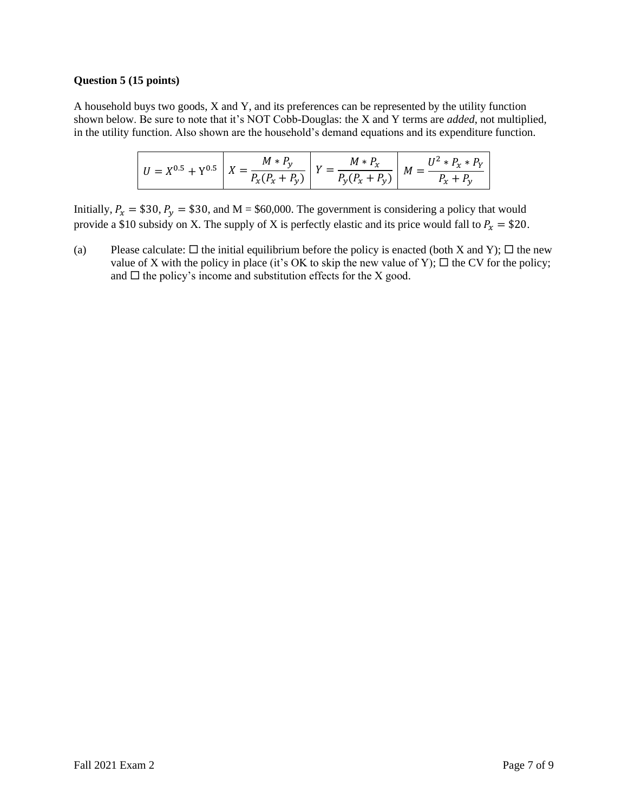### **Question 5 (15 points)**

A household buys two goods, X and Y, and its preferences can be represented by the utility function shown below. Be sure to note that it's NOT Cobb-Douglas: the X and Y terms are *added*, not multiplied, in the utility function. Also shown are the household's demand equations and its expenditure function.

$$
U = X^{0.5} + Y^{0.5} \left[ X = \frac{M * P_y}{P_x (P_x + P_y)} \right] Y = \frac{M * P_x}{P_y (P_x + P_y)} \left[ M = \frac{U^2 * P_x * P_y}{P_x + P_y} \right]
$$

Initially,  $P_x = $30$ ,  $P_y = $30$ , and M = \$60,000. The government is considering a policy that would provide a \$10 subsidy on X. The supply of X is perfectly elastic and its price would fall to  $P_x = $20$ .

(a) Please calculate:  $\Box$  the initial equilibrium before the policy is enacted (both X and Y);  $\Box$  the new value of X with the policy in place (it's OK to skip the new value of Y);  $\Box$  the CV for the policy; and  $\Box$  the policy's income and substitution effects for the X good.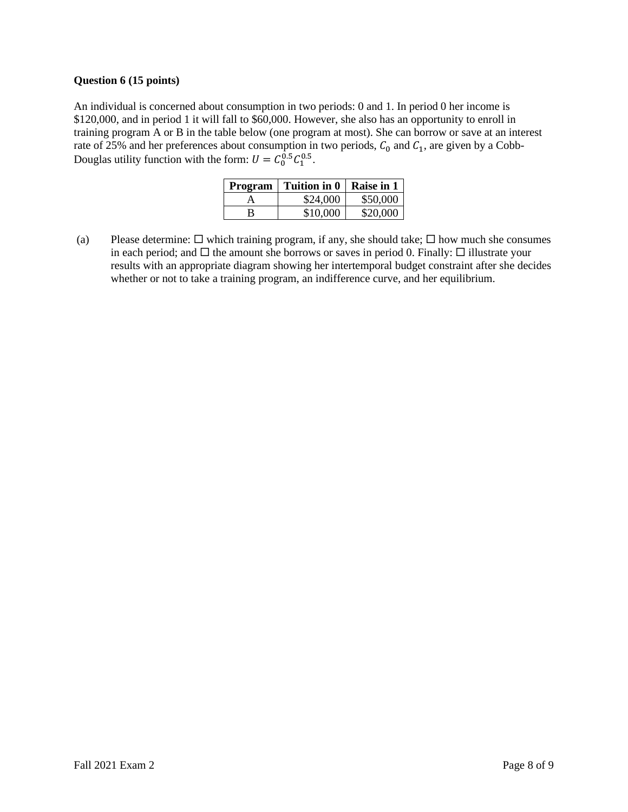## **Question 6 (15 points)**

An individual is concerned about consumption in two periods: 0 and 1. In period 0 her income is \$120,000, and in period 1 it will fall to \$60,000. However, she also has an opportunity to enroll in training program A or B in the table below (one program at most). She can borrow or save at an interest rate of 25% and her preferences about consumption in two periods,  $C_0$  and  $C_1$ , are given by a Cobb-Douglas utility function with the form:  $U = C_0^{0.5} C_1^{0.5}$ .

| Program | Tuition in 0 | Raise in 1 |
|---------|--------------|------------|
|         | \$24,000     | \$50,000   |
|         | \$10,000     | \$20,000   |

(a) Please determine:  $\Box$  which training program, if any, she should take;  $\Box$  how much she consumes in each period; and  $\Box$  the amount she borrows or saves in period 0. Finally:  $\Box$  illustrate your results with an appropriate diagram showing her intertemporal budget constraint after she decides whether or not to take a training program, an indifference curve, and her equilibrium.